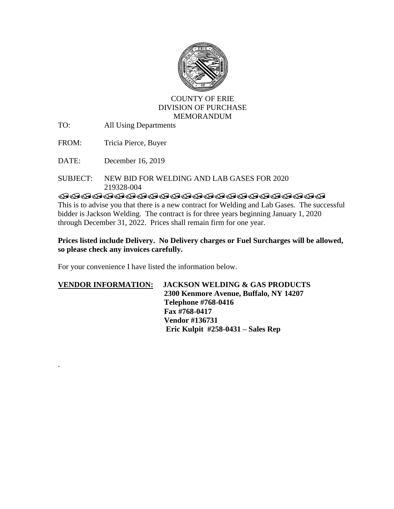

## COUNTY OF ERIE DIVISION OF PURCHASE MEMORANDUM

TO: All Using Departments

FROM: Tricia Pierce, Buyer

DATE: December 16, 2019

.

## SUBJECT: NEW BID FOR WELDING AND LAB GASES FOR 2020219328-004

**TRADDADADADADADADADADAD** 

This is to advise you that there is a new contract for Welding and Lab Gases. The successful bidder is Jackson Welding. The contract is for three years beginning January 1, 2020 through December 31, 2022. Prices shall remain firm for one year.

## **Prices listed include Delivery. No Delivery charges or Fuel Surcharges will be allowed, so please check any invoices carefully.**

For your convenience I have listed the information below.

## **VENDOR INFORMATION: JACKSON WELDING & GAS PRODUCTS 2300 Kenmore Avenue, Buffalo, NY 14207 Telephone #768-0416 Fax #768-0417 Vendor #136731 Eric Kulpit #258-0431 – Sales Rep**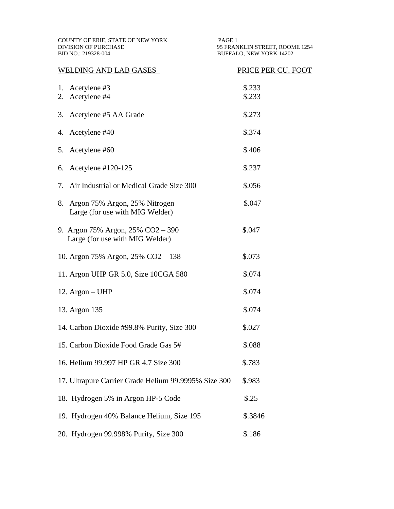COUNTY OF ERIE, STATE OF NEW YORK PAGE 1 DIVISION OF PURCHASE 95 FRAN DIVISION OF PURCHASE 95 FRANKLIN STREET, ROOME 1254<br>BID NO.: 219328-004 BUFFALO, NEW YORK 14202

BUFFALO, NEW YORK 14202

| WELDING AND LAB GASES                                                  | PRICE PER CU. FOOT |
|------------------------------------------------------------------------|--------------------|
| 1. Acetylene #3<br>Acetylene #4<br>2.                                  | \$.233<br>\$.233   |
| 3. Acetylene #5 AA Grade                                               | \$.273             |
| Acetylene #40<br>4.                                                    | \$.374             |
| 5. Acetylene #60                                                       | \$.406             |
| Acetylene $\#120-125$<br>6.                                            | \$.237             |
| 7. Air Industrial or Medical Grade Size 300                            | \$.056             |
| Argon 75% Argon, 25% Nitrogen<br>8.<br>Large (for use with MIG Welder) | \$.047             |
| 9. Argon 75% Argon, 25% CO2 - 390<br>Large (for use with MIG Welder)   | \$.047             |
| 10. Argon 75% Argon, 25% CO2 – 138                                     | \$.073             |
| 11. Argon UHP GR 5.0, Size 10CGA 580                                   | \$.074             |
| 12. $Argon - UHP$                                                      | \$.074             |
| 13. Argon 135                                                          | \$.074             |
| 14. Carbon Dioxide #99.8% Purity, Size 300                             | \$.027             |
| 15. Carbon Dioxide Food Grade Gas 5#                                   | \$.088             |
| 16. Helium 99.997 HP GR 4.7 Size 300                                   | \$.783             |
| 17. Ultrapure Carrier Grade Helium 99.9995% Size 300                   | \$.983             |
| 18. Hydrogen 5% in Argon HP-5 Code                                     | \$.25              |
| 19. Hydrogen 40% Balance Helium, Size 195                              | \$.3846            |
| 20. Hydrogen 99.998% Purity, Size 300                                  | \$.186             |